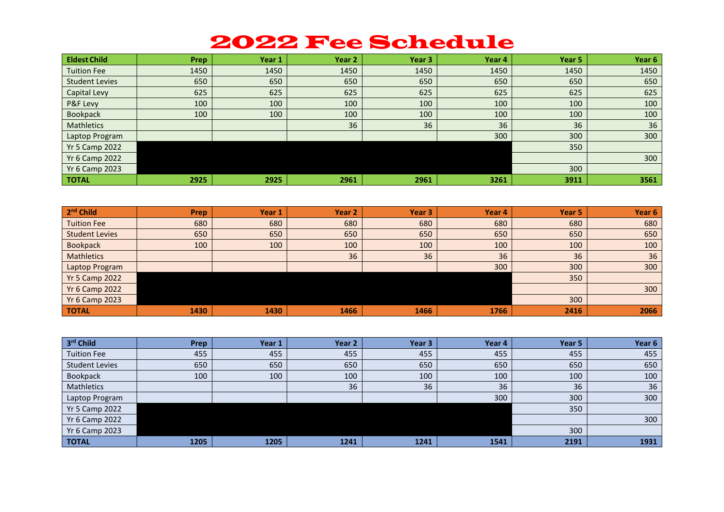## 2022 Fee Schedule

| <b>Eldest Child</b>   | Prep | Year 1 | Year 2 | Year <sub>3</sub> | Year 4 | Year 5 | Year 6 |
|-----------------------|------|--------|--------|-------------------|--------|--------|--------|
| <b>Tuition Fee</b>    | 1450 | 1450   | 1450   | 1450              | 1450   | 1450   | 1450   |
| <b>Student Levies</b> | 650  | 650    | 650    | 650               | 650    | 650    | 650    |
| Capital Levy          | 625  | 625    | 625    | 625               | 625    | 625    | 625    |
| P&F Levy              | 100  | 100    | 100    | 100               | 100    | 100    | 100    |
| <b>Bookpack</b>       | 100  | 100    | 100    | 100               | 100    | 100    | 100    |
| <b>Mathletics</b>     |      |        | 36     | 36                | 36     | 36     | 36     |
| Laptop Program        |      |        |        |                   | 300    | 300    | 300    |
| <b>Yr 5 Camp 2022</b> |      |        |        |                   |        | 350    |        |
| <b>Yr 6 Camp 2022</b> |      |        |        |                   |        |        | 300    |
| <b>Yr 6 Camp 2023</b> |      |        |        |                   |        | 300    |        |
| <b>TOTAL</b>          | 2925 | 2925   | 2961   | 2961              | 3261   | 3911   | 3561   |

| 2 <sup>nd</sup> Child | Prep | Year 1 | <b>Year 2</b> | Year <sub>3</sub> | Year 4 | Year 5 | Year 6 |
|-----------------------|------|--------|---------------|-------------------|--------|--------|--------|
| <b>Tuition Fee</b>    | 680  | 680    | 680           | 680               | 680    | 680    | 680    |
| <b>Student Levies</b> | 650  | 650    | 650           | 650               | 650    | 650    | 650    |
| <b>Bookpack</b>       | 100  | 100    | 100           | 100               | 100    | 100    | 100    |
| <b>Mathletics</b>     |      |        | 36            | 36                | 36     | 36     | 36     |
| Laptop Program        |      |        |               |                   | 300    | 300    | 300    |
| <b>Yr 5 Camp 2022</b> |      |        |               |                   |        | 350    |        |
| <b>Yr 6 Camp 2022</b> |      |        |               |                   |        |        | 300    |
| <b>Yr 6 Camp 2023</b> |      |        |               |                   |        | 300    |        |
| <b>TOTAL</b>          | 1430 | 1430   | 1466          | 1466              | 1766   | 2416   | 2066   |

| 3rd Child             | Prep | Year 1 | Year <sub>2</sub> | Year <sub>3</sub> | Year 4 | Year 5 | Year 6 |
|-----------------------|------|--------|-------------------|-------------------|--------|--------|--------|
| <b>Tuition Fee</b>    | 455  | 455    | 455               | 455               | 455    | 455    | 455    |
| <b>Student Levies</b> | 650  | 650    | 650               | 650               | 650    | 650    | 650    |
| Bookpack              | 100  | 100    | 100               | 100               | 100    | 100    | 100    |
| Mathletics            |      |        | 36                | 36                | 36     | 36     | 36     |
| Laptop Program        |      |        |                   |                   | 300    | 300    | 300    |
| <b>Yr 5 Camp 2022</b> |      |        |                   |                   |        | 350    |        |
| <b>Yr 6 Camp 2022</b> |      |        |                   |                   |        |        | 300    |
| <b>Yr 6 Camp 2023</b> |      |        |                   |                   |        | 300    |        |
| <b>TOTAL</b>          | 1205 | 1205   | 1241              | 1241              | 1541   | 2191   | 1931   |